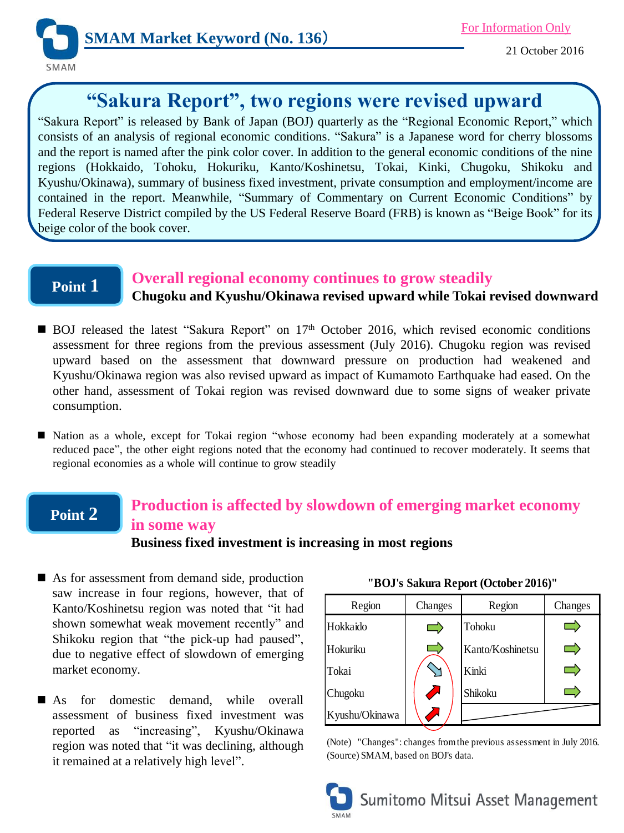

# **"Sakura Report", two regions were revised upward**

"Sakura Report" is released by Bank of Japan (BOJ) quarterly as the "Regional Economic Report," which consists of an analysis of regional economic conditions. "Sakura" is a Japanese word for cherry blossoms and the report is named after the pink color cover. In addition to the general economic conditions of the nine regions (Hokkaido, Tohoku, Hokuriku, Kanto/Koshinetsu, Tokai, Kinki, Chugoku, Shikoku and Kyushu/Okinawa), summary of business fixed investment, private consumption and employment/income are contained in the report. Meanwhile, "Summary of Commentary on Current Economic Conditions" by Federal Reserve District compiled by the US Federal Reserve Board (FRB) is known as "Beige Book" for its beige color of the book cover.

### **Point 1**

#### **Overall regional economy continues to grow steadily**

**Chugoku and Kyushu/Okinawa revised upward while Tokai revised downward**

- BOJ released the latest "Sakura Report" on 17<sup>th</sup> October 2016, which revised economic conditions assessment for three regions from the previous assessment (July 2016). Chugoku region was revised upward based on the assessment that downward pressure on production had weakened and Kyushu/Okinawa region was also revised upward as impact of Kumamoto Earthquake had eased. On the other hand, assessment of Tokai region was revised downward due to some signs of weaker private consumption.
- $\blacksquare$  Nation as a whole, except for Tokai region "whose economy had been expanding moderately at a somewhat reduced pace", the other eight regions noted that the economy had continued to recover moderately. It seems that regional economies as a whole will continue to grow steadily

#### **Point 2 Production is affected by slowdown of emerging market economy in some way**

**Business fixed investment is increasing in most regions**

- As for assessment from demand side, production saw increase in four regions, however, that of Kanto/Koshinetsu region was noted that "it had shown somewhat weak movement recently" and Shikoku region that "the pick-up had paused", due to negative effect of slowdown of emerging market economy.
- As for domestic demand, while overall assessment of business fixed investment was reported as "increasing", Kyushu/Okinawa region was noted that "it was declining, although it remained at a relatively high level".

| Region         | Changes       | Region           | Changes |
|----------------|---------------|------------------|---------|
| Hokkaido       |               | Tohoku           |         |
| Hokuriku       |               | Kanto/Koshinetsu |         |
| Tokai          |               | Kinki            |         |
| Chugoku        | $\mathcal{L}$ | Shikoku          |         |
| Kyushu/Okinawa |               |                  |         |

(Note) "Changes": changes from the previous assessment in July 2016. (Source) SMAM, based on BOJ's data.



**"BOJ's Sakura Report (October 2016)"**